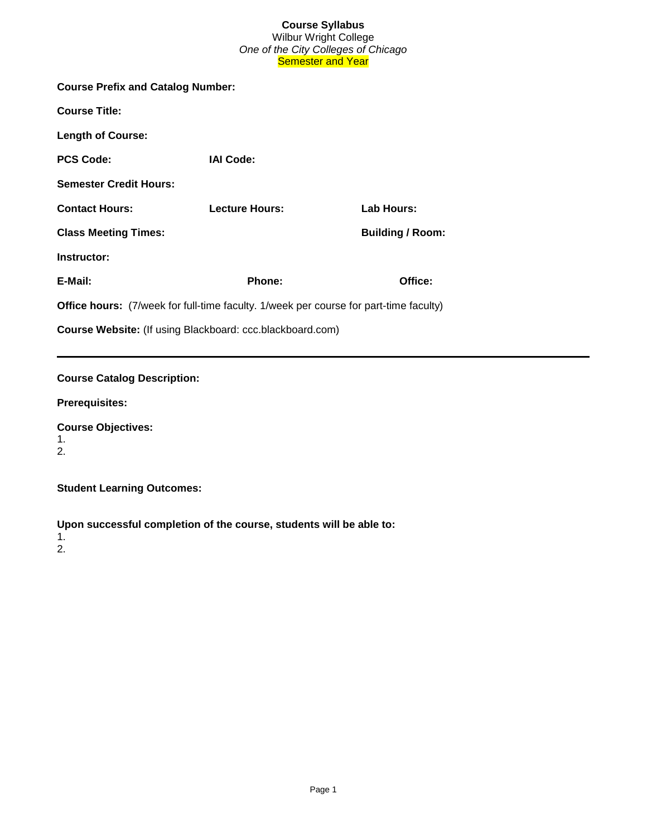# **Course Syllabus** Wilbur Wright College *One of the City Colleges of Chicago* Semester and Year

| <b>Course Prefix and Catalog Number:</b>                                                     |                       |                         |  |  |  |
|----------------------------------------------------------------------------------------------|-----------------------|-------------------------|--|--|--|
| <b>Course Title:</b>                                                                         |                       |                         |  |  |  |
| <b>Length of Course:</b>                                                                     |                       |                         |  |  |  |
| <b>PCS Code:</b>                                                                             | <b>IAI Code:</b>      |                         |  |  |  |
| <b>Semester Credit Hours:</b>                                                                |                       |                         |  |  |  |
| <b>Contact Hours:</b>                                                                        | <b>Lecture Hours:</b> | Lab Hours:              |  |  |  |
| <b>Class Meeting Times:</b>                                                                  |                       | <b>Building / Room:</b> |  |  |  |
| Instructor:                                                                                  |                       |                         |  |  |  |
| E-Mail:                                                                                      | <b>Phone:</b>         | Office:                 |  |  |  |
| <b>Office hours:</b> (7/week for full-time faculty. 1/week per course for part-time faculty) |                       |                         |  |  |  |
| <b>Course Website:</b> (If using Blackboard: ccc.blackboard.com)                             |                       |                         |  |  |  |
|                                                                                              |                       |                         |  |  |  |

# **Course Catalog Description:**

**Prerequisites:**

**Course Objectives:**  1. 2.

**Student Learning Outcomes:** 

**Upon successful completion of the course, students will be able to:**

1. 2.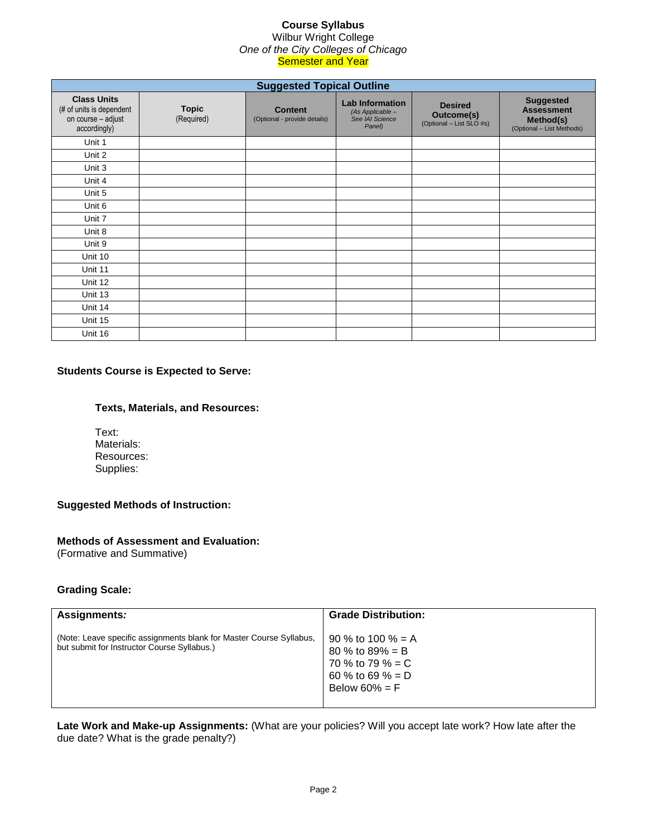### **Course Syllabus** Wilbur Wright College *One of the City Colleges of Chicago* **Semester and Year**

| <b>Suggested Topical Outline</b>                                                     |                            |                                                |                                                                         |                                                          |                                                                                 |  |
|--------------------------------------------------------------------------------------|----------------------------|------------------------------------------------|-------------------------------------------------------------------------|----------------------------------------------------------|---------------------------------------------------------------------------------|--|
| <b>Class Units</b><br>(# of units is dependent<br>on course - adjust<br>accordingly) | <b>Topic</b><br>(Required) | <b>Content</b><br>(Optional - provide details) | <b>Lab Information</b><br>(As Applicable -<br>See IAI Science<br>Panel) | <b>Desired</b><br>Outcome(s)<br>(Optional - List SLO #s) | <b>Suggested</b><br><b>Assessment</b><br>Method(s)<br>(Optional - List Methods) |  |
| Unit 1                                                                               |                            |                                                |                                                                         |                                                          |                                                                                 |  |
| Unit 2                                                                               |                            |                                                |                                                                         |                                                          |                                                                                 |  |
| Unit 3                                                                               |                            |                                                |                                                                         |                                                          |                                                                                 |  |
| Unit 4                                                                               |                            |                                                |                                                                         |                                                          |                                                                                 |  |
| Unit 5                                                                               |                            |                                                |                                                                         |                                                          |                                                                                 |  |
| Unit 6                                                                               |                            |                                                |                                                                         |                                                          |                                                                                 |  |
| Unit 7                                                                               |                            |                                                |                                                                         |                                                          |                                                                                 |  |
| Unit 8                                                                               |                            |                                                |                                                                         |                                                          |                                                                                 |  |
| Unit 9                                                                               |                            |                                                |                                                                         |                                                          |                                                                                 |  |
| Unit 10                                                                              |                            |                                                |                                                                         |                                                          |                                                                                 |  |
| Unit 11                                                                              |                            |                                                |                                                                         |                                                          |                                                                                 |  |
| Unit 12                                                                              |                            |                                                |                                                                         |                                                          |                                                                                 |  |
| Unit 13                                                                              |                            |                                                |                                                                         |                                                          |                                                                                 |  |
| Unit 14                                                                              |                            |                                                |                                                                         |                                                          |                                                                                 |  |
| Unit 15                                                                              |                            |                                                |                                                                         |                                                          |                                                                                 |  |
| Unit 16                                                                              |                            |                                                |                                                                         |                                                          |                                                                                 |  |

# **Students Course is Expected to Serve:**

# **Texts, Materials, and Resources:**

Text: Materials: Resources: Supplies:

# **Suggested Methods of Instruction:**

# **Methods of Assessment and Evaluation:**

(Formative and Summative)

### **Grading Scale:**

| Assignments:                                                                                                       | <b>Grade Distribution:</b>                                                                      |
|--------------------------------------------------------------------------------------------------------------------|-------------------------------------------------------------------------------------------------|
| (Note: Leave specific assignments blank for Master Course Syllabus,<br>but submit for Instructor Course Syllabus.) | 90 % to 100 % = A<br>80 % to 89% = B<br>70 % to 79 % = C<br>60 % to 69 % = D<br>Below 60% = $F$ |

**Late Work and Make-up Assignments:** (What are your policies? Will you accept late work? How late after the due date? What is the grade penalty?)